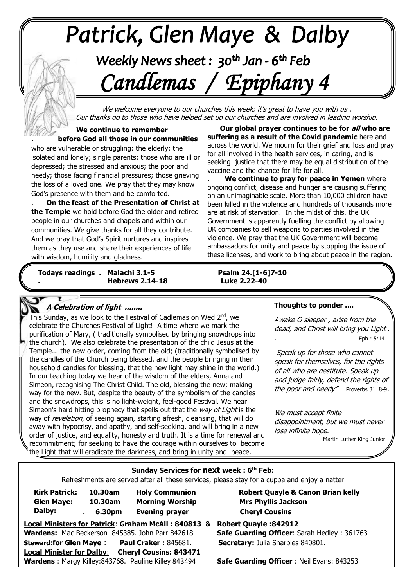# +v++++ -\*\*\*\*\*

## Weekly News sheet: 30<sup>th</sup> Jan - 6<sup>th</sup> Feb  *Candlemas / Epiphany 4*

We welcome everyone to our churches this week; it's great to have you with us . Our thanks go to those who have helped set up our churches and are involved in leading worship.

 God's presence with them and be comforted.  **We continue to remember . before God all those in our communities** who are vulnerable or struggling: the elderly; the isolated and lonely; single parents; those who are ill or depressed; the stressed and anxious; the poor and needy; those facing financial pressures; those grieving the loss of a loved one. We pray that they may know

**The Temple we hold before God the older and retired the Temple** we hold before God the older and retired  people in our churches and chapels and within our . **On the feast of the Presentation of Christ at**  communities. We give thanks for all they contribute. And we pray that God's Spirit nurtures and inspires them as they use and share their experiences of life with wisdom, humility and gladness.

*June: Trinity Sunday* **Todays readings . Malachi 3.1-5 Psalm 24.[1-6]7-10 Hebrews 2.14-18** 

. **Our global prayer continues to be for all who are suffering as a result of the Covid pandemic** here and across the world. We mourn for their grief and loss and pray for all involved in the health services, in caring, and is seeking justice that there may be equal distribution of the vaccine and the chance for life for all.

. **We continue to pray for peace in Yemen** where ongoing conflict, disease and hunger are causing suffering on an unimaginable scale. More than 10,000 children have been killed in the violence and hundreds of thousands more are at risk of starvation. In the midst of this, the UK Government is apparently fuelling the conflict by allowing UK companies to sell weapons to parties involved in the violence. We pray that the UK Government will become ambassadors for unity and peace by stopping the issue of these licenses, and work to bring about peace in the region.

Psalm 24.[1-6]7-10<br>Luke 2.22-40

### **A Celebration of light ........**

 celebrate the Churches Festival of Light! A time where we mark the  Temple... the new order, coming from the old; (traditionally symbolised by  the candles of the Church being blessed, and the people bringing in their This Sunday, as we look to the Festival of Cadlemas on Wed 2<sup>nd</sup>, we purification of Mary, ( traditionally symbolised by bringing snowdrops into the church). We also celebrate the presentation of the child Jesus at the household candles for blessing, that the new light may shine in the world.) In our teaching today we hear of the wisdom of the elders, Anna and Simeon, recognising The Christ Child. The old, blessing the new; making way for the new. But, despite the beauty of the symbolism of the candles and the snowdrops, this is no light-weight, feel-good Festival. We hear Simeon's hard hitting prophecy that spells out that the way of Light is the way of *revelation*, of seeing again, starting afresh, cleansing, that will do away with hypocrisy, and apathy, and self-seeking, and will bring in a new order of justice, and equality, honesty and truth. It is a time for renewal and recommitment; for seeking to have the courage within ourselves to become the Light that will eradicate the darkness, and bring in unity and peace.

#### **Thoughts to ponder ....**

Awake O sleeper , arise from the dead, and Christ will bring you Light . . Eph : 5:14

Speak up for those who cannot speak for themselves, for the rights of all who are destitute. Speak up and judge fairly, defend the rights of the poor and needy" Proverbs 31. 8-9.

We must accept finite disappointment, but we must never lose infinite hope.

Martin Luther King Junior

#### **Sunday Services for next week : 6 th Feb:**

Refreshments are served after all these services, please stay for a cuppa and enjoy a natter

| <b>Kirk Patrick:</b><br><b>Glen Maye:</b><br>Dalby:                                                    | 10.30am<br>10.30am<br>6.30pm<br>$\ddot{\phantom{0}}$ | <b>Holy Communion</b><br><b>Morning Worship</b><br><b>Evening prayer</b>              |  |
|--------------------------------------------------------------------------------------------------------|------------------------------------------------------|---------------------------------------------------------------------------------------|--|
| Local Ministers for Patrick: Graham McAll: 840813 8<br>Wardens: Mac Beckerson 845385. John Parr 842618 |                                                      |                                                                                       |  |
| <b>Steward:for Glen Maye:</b>                                                                          |                                                      | <b>Paul Craker: 845681.</b>                                                           |  |
| <b>Local Minister for Dalby:</b>                                                                       |                                                      | <b>Cheryl Cousins: 843471</b><br>Wardens · Margy Killey: 843768 Pauline Killey 843494 |  |

 **Robert Quayle & Canon Brian kelly Mrs Phyllis Jackson Cheryl Cousins** 

**Local Ministers for Patrick**: **Graham McAll : 840813 & Robert Quayle :842912 Safe Guarding Officer: Sarah Hedley : 361763 Secretary:** Julia Sharples 840801.

**Safe Guarding Officer** : Neil Evans: 843253